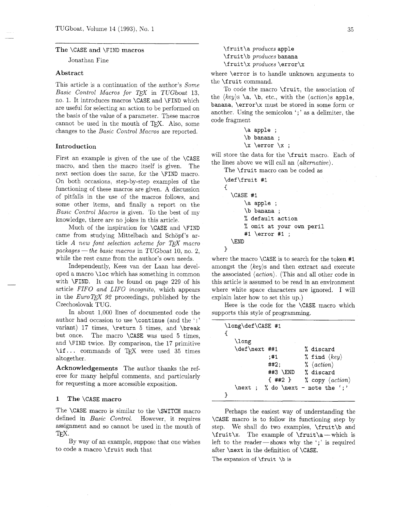## The \CASE and \FIND macros

Jonathan Fine

#### Abstract

This article is a continuation of the author's Some Basic Control Macros for TEX in TUGboat 13, no. 1. It introduces macros \CASE and \FIND which are useful for selecting an action to be performed on the basis of the value of a parameter. These macros cannot be used in the mouth of  $Tr[X.$  Also, some changes to the Basic Control Macros are reported.

## Introduction

First an example is given of the use of the  $\angle$ CASE macro. and then the macro itself is given. The next section does the same, for the \FIND macro. On both occasions, step-by-step examples of the functioning of these macros are given. A discussion of pitfalls in the use of the macros follows, and some other items, and finally a report on the Basic Control Macros is given. To the best of my knowledge. there are no jokes in this article.

Much of the inspiration for \CASE and \FIND came from studying Mittelbach and Schöpf's arcame from studying Mittelbach and Schöpf's article *A new font selection scheme for TEX macro* packages — the basic macros in *TUGboat* 10, no. 2, while the past came from the suther's macros while the rest came from the author's own needs.

Independently, Kees van der Laan has developed a macro \lot which has something in common with \FIND. It can be found on page 229 of his article *FIFO and LIFO incognito*, which appears in the  $Euro$  TFX 92 proceedings, published by the Czechoslovak TUG.

In about 1,000 lines of documented code the author had occasion to use \continue (and the ':' variant) 17 times. \return *5* times, and \break but once. The macro \CASE was used 5 times, and \FIND twice. By comparison, the 17 primitive \if... commands of TEX were used 35 times altogether.

Acknowledgements The author thanks the referee for many helpful comments, and particularly for requesting a more accessible exposition.

## 1 The \CASE macro

The \CASE macro is similar to the \SWITCH macro defined in Basic Control. However, it requires assignment and so cannot be used in the mouth of  $T_{\text{E}}$ X.

By way of an example, suppose that one wishes to code a macro \fruit such that

 $\frac{1}{a}$  produces apple \f ruit\b produces banana \f rult\x produces \error\x

where \error is to handle unknown arguments to the \fruit command.

To code the macro \fruit, the association of the  $\langle key \rangle$ s \a, \b, etc., with the  $\langle action \rangle$ s apple, banana, \error\x must be stored in some form or another. Using the semicolon  $\cdot$ ; as a delimiter, the code fragment

| \a apple ;                |  |
|---------------------------|--|
| \b banana :               |  |
| $\x \ \text{error} \ x$ : |  |

will store the data for the \fruit macro. Each of the lines above we will call an  $\langle alternative \rangle$ .

The \fruit macro can be coded as

| \def\fruit #1            |  |
|--------------------------|--|
|                          |  |
| <b>\CASE #1</b>          |  |
| \a apple ;               |  |
| \b banana ;              |  |
| % default action         |  |
| % omit at your own peril |  |
| #1 \error #1 ;           |  |
| \ F.ND                   |  |
|                          |  |

where the macro \CASE is to search for the token #1 amongst the  $\langle key \rangle$ s and then extract and execute the associated  $\langle action \rangle$ . (This and all other code in this article is assumed to be read in an environment where white space characters are ignored. I will explain later how to set this up.)

Here is the code for the \CASE macro which supports this style of programming.

| \long\def\CASE #1 |                                 |
|-------------------|---------------------------------|
| \long             |                                 |
| \def\next ##1     | % discard                       |
| :#1               | % find $\langle key \rangle$    |
| ##2:              | $\% \langle action \rangle$     |
| ##3 \END          | % discard                       |
| { ##2 }           | % copy $\langle action \rangle$ |
| \next<br>$\sim$   | % do \next - note the ':'       |
|                   |                                 |

Perhaps the easiest way of understanding the \CASE macro is to follow its functioning step by step. We shall do two examples, \fruit\b and  $\trm{\$ {ruit\}x. The example of \trm{\}ruit\a- which is left to the reader-shows why the  $\cdot$ ; is required after \next in the definition of \CASE.

The expansion of **\fruit \b** is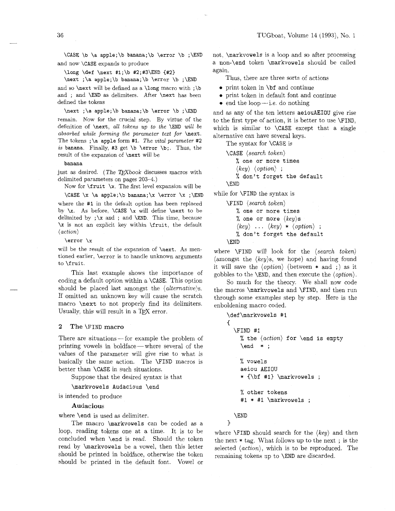**\CASE \b \a apple;\b banana;\b \error \b ;\END**  and now **\CASE** expands to produce

**\long \def \next #l;\b #2;#3\END {#2)** 

**\next ;\a apple;\b banana;\b \error \b ;\END**  and so **\next** will be defined as a **\long** macro with ; **\b**  and ; and **\END** as delimiters. After **\next** has been defined the tokens

**\next** ;\a **apple;\b banana; \b \error \b ;\END**  remain. Now for the crucial step. By virtue of the definition of **\next,** *all tokens up to the* **\END** *wzll be absorbed while forming the parameter text for \next.* The tokens ; \a apple form #1. The vital parameter #2 *zs* **banana.** Finally, **#3** get **\b \error \b;.** Thus, the result of the expansion of **\next** will be

**banana** 

just as desired. (The T<sub>F</sub>Xbook discusses macros with delimited parameters on pages 203-4.)

Now for **\fruit \x.** The first level expansion will be

**\CASE \x \a apple; \b banana; \x \error \x ;\END** 

where the **#1** in the default option has been replaced by **\x.** As before, **\CASE \x** will define **\next** to be delimited by **;\x** and ; and **\END.** This time, because \x is not an explicit key within **\fruit,** the default  $\langle action \rangle$ 

**\error \x** 

will be the result of the expansion of **\next.** As mentioned earlier, **\error** is to handle unknown arguments to \fruit.

This last example shows the importance of coding a default option within a **\CASE.** This option should be placed last amongst the *(alternative)s.* If omitted an unknown key will cause the scratch macro **\next** to not properly find its delimiters. Usually, this will result in a TFX error.

## **2 The \FIND** macro

There are situations-for example the problem of printing vowels in boldface-where several of the values of the parameter will give rise to what is basically the same action. The **\FIND** macros is better than **\CASE** in such situations.

Suppose that the desired syntax is that

**\markvowels Audacious \end** 

is intended to produce

## Audacious

where **\end** is used as delimiter.

The macro **\markvowels** can be coded as a loop, reading tokens one at a time. It is to be concluded when **\end** is read. Should the token read by **\markvowels** be a vowel, then this letter should be printed in boldface, otherwise the token should be printed in the default font. Vowel or

not, **\markvowels** is a loop and so after processing a **non-\end** token **\markvowels** should be called again.

Thus, there are three sorts of actions

- **0** print token in **\bf** and continue
- **0** print token in default font and continue
- $\bullet$  end the loop i.e. do nothing

and as any of the ten letters **aeiouAEIOU** give rise to the first type of action, it is better to use **\FIND.**  which is similar to **\CASE** except that a single alternative can have several keys.

The syntax for **\CASE** is

**\CASE** *(search token)*  % **one or more times** 

*(key) (option)* ; % **don't forget the default** 

**\END** 

while for **\FIND** the syntax is

**\FIND** *(search token)*  % **one or more times**  % **one or more** *(key)s*   $\langle key \rangle$  ...  $\langle key \rangle * \langle option \rangle$ ; % **don't forget the default \END** 

where **\FIND** will look for the *(search token)*  (amongst the  $\langle key \rangle$ s, we hope) and having found it will save the  $\langle option \rangle$  (between  $*$  and ;) as it gobbles to the **\END,** and then execute the *(option).* 

So much for the theory. We shall now code the macros **\markvowels** and **\FIND,** and then run through some examples step by step. Here is the enboldening macro coded.

```
\def \markvowels #I 
  \FIND #I 
    % the (action) for \end is empty 
    \end * ; 
    % vowels 
    aeiou AEIOU 
    * {\bf #l) \markvowels ; 
    % other tokens 
    #1 * #I \markvowels ; 
  \END
```
 $\mathcal{F}$ 

{

where **\FIND** should search for the *(key)* and then the next  $*$  tag. What follows up to the next; is the selected *(action),* which is to be reproduced. The remaining tokens up to **\END** are discarded.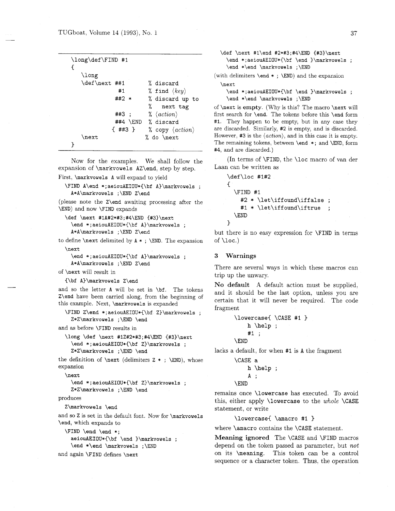| $\lambda$ long |         |          |                                 |
|----------------|---------|----------|---------------------------------|
| \def\next ##1  |         |          | % discard                       |
|                | #1      |          | % find $\langle key \rangle$    |
|                | ##2 *   |          | % discard up to                 |
|                |         |          | next tag                        |
|                | ##3     |          | $\% \langle action \rangle$     |
|                |         | ##4 \END | % discard                       |
|                | { ##3 } |          | % copy $\langle action \rangle$ |
| \next          |         |          | % do \next                      |

Now for the examples. We shall follow the expansion of **\markvowels AZ\end,** step by step.

First, **\markvowels A** will expand to yield

```
\FIND A\end *;aeiouAEIOU*C\bf A)\markvowels ; 
  A*A\markvowels ;\END Z\end
```
(please note the **Z\end** awaiting processing after the **\END)** and now **\FIND** expands

```
\def \next #lA#2*#3;#4\END {#3)\next 
  \end *;aeiouAEIOU*{\bf A}\markvowels ;
  A*A\markvowels ;\END Z\end
```
to define **\next** delimited by **A** \* ; **\END.** The expansion \next

```
\end *; aeiouAEIOU*{\bf A}\markvowels :
A*A\markvowels ;\END Z\end
```
of **\next** will result in

```
{\bf A}\markvowels Z\end
```
and so the letter **A** will be set in **\bf.** The tokens **Z\end** have been carried along, from the beginning of this example. Next, **\markvowels** is expanded

**\FIND Z\end \*;aeiouAEIOU\*{\bf Z)\markvowels** ; **Z\*Z\markvowels ;\END \end** 

and as before **\FIND** results in

```
\long \def \next #1Z#2*#3;#4\END {#3}\next
  \end *; aeiouAEIOU*{\bf Z}\markvowels ;
  Z*Z\markvowels ;\END \end
```
the definition of **\next** (delimiters Z \* ; **\END),** whose expansion

**\next** 

```
\end * ; aeiouAEIOU*{\bf Z)\markvowels ; 
Z*Z\markvowels ;\END \end
```
produces

Z\markvowels \end

and so **Z** is set in the default font. Now for **\markvowels \end,** which expands **to** 

**\FIND \end \end** \*; **aeiouAEIOU\*{\bf \end )\markvowels** ; **\end \*\end \markvowels ;\END** 

and again **\FIND** defines **\next** 

**\def \next #l\end #2\*#3;#4\END {#3)\next \end** \* ; **aeiouAEIOU\*{\bf \end )\markvowels** ; **\end \*\end \markvowels ;\END** 

(with delimiters **\end** \* ; **\END)** and the expansion \next

\end \*;aeiouAEIOU\*{\bf \end }\markvowels ; \end \*\end \markvowels ;\END

of **\next** is empty. (Why is this? The macro **\next** will first search for **\end.** The tokens before this **\end** form **#I.** They happen to be empty, but in any case they are discarded. Similarly, #2 is empty, and is discarded. However, **#3** is the  $\langle action \rangle$ , and in this case it is empty. The remaining tokens, between **\end** \* ; and **\END,** form **#4,** and are discarded.)

(In terms of **\FIND,** the **\loc** macro of van der Laan can be written as

```
\def\loc #1#2
\mathcal{L}\FIND #1
     #2 * \let\iffound\iffalse ;
     #1 * \let\iffound\iftrue ;
  \END
\mathbf{r}
```
but there is no easy expression for **\FIND** in terms of **\loc.)** 

#### **3 Warnings**

There are several ways in which these macros can trip up the unwary.

No **default** A default action must be supplied, and it should be the last option, unless you are certain that it will never be required. The code fragment

> \lowercase{ \CASE #1 }  $h \he1p$ ; #1 ; **\END**

lacks a default, for when #I is **A** the fragment

```
\CASE a 
    h \help ; 
    A; 
\END
```
remains once **\lowercase** has executed. To avoid this, either apply **\lowercase** to the *whole* **\CASE**  statement, or write

\lowercase{ \amacro #1 }

where **\amacro** contains the **\CASE** statement

**Meaning ignored** The **\CASE** and **\FIND** macros depend on the token passed as parameter, but *not*  on its **\meaning.** This token can be a control sequence or a character token. Thus, the operation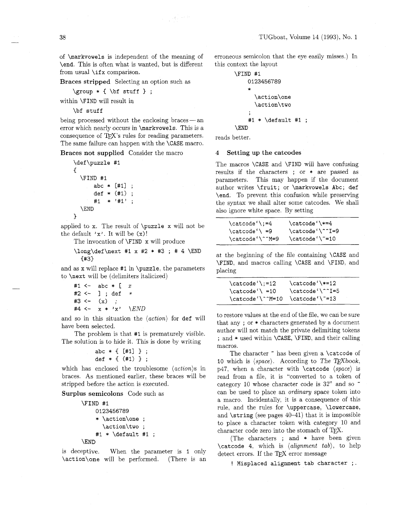of **\markvowels** is independent of the meaning of **\end.** This is often what is wanted, but is different from usual **\if x** comparison.

 $\label{eq:1} \frac{1}{4}\left(\frac{1}{2}\sum_{i=1}^{2}\frac{1}{2}(\lambda_i)^2\right)^{1/2}$ 

**Braces stripped** Selecting an option such as

$$
\verb|\group * { \bf stuff } ;
$$

within **\FIND** will result in

**\bf stuff** 

being processed without the enclosing braces  $-$  an error which nearly occurs in **\markvowels.** This is a consequence of T<sub>F</sub>X's rules for reading parameters. The same failure can happen with the **\CASE** macro.

**Braces not supplied** Consider the macro

```
\def \puzzle #I 
\mathbf{f}\FIND #I 
        abc * [#I] ; 
        def * (#I) ; 
        #1 * '#I' ; 
   \END 
\mathbf{a}
```
applied to **x.** The result of **\puzzle x** will not be the default  $'x'$ . It will be  $(x)$ !

The invocation of **\FIND x** will produce

**\long\def\next #1 x #2** \* **#3** ; # 4 **\END 043)** 

and as **x** will replace **#I** in **\puzzle,** the parameters to **\next** will be (delimiters italicized)

```
I- abc * [ x
#2 <- ] ; def * 
#3 <- (x) ; 
         \mathbf{x} * \mathbf{x} ' \mathbf{END}
```
and so in this situation the  $\langle action \rangle$  for def will have been selected.

The problem is that **#I** is prematurely visible. The solution is to hide it. This is done by writing

```
abc * ( [#I] ; 
def * ( (#I) ;
```
which has enclosed the troublesome  $\langle action \rangle s$  in braces. As mentioned earlier. these braces will be stripped before the action is executed.

**Surplus semicolons** Code such as

```
\FIND #i 
    0123456789 
    * \action\one ; 
       \action\two ; 
    #I * \default #1 ;
```
**\END** 

is deceptive. When the parameter is **1** only **\action\one** will be performed. (There is an erroneous semicolon that the eye easily misses.) In this context the layout

```
\FIND #I 
    0123456789 
     * 
       \action\one 
       \act ion\two 
     , 
     #l * \default 
\END
```
reads better.

#### **4 Setting up the catcodes**

The macros **\CASE** and **\FIND** will have confusing results if the characters ; or \* are passed as parameters. This may happen if the document author writes **\fruit;** or **\markvowels Abc; def \end.** To prevent this confusion while preserving the syntax we shall alter some catcodes. We shall also ignore white space. By setting

| $\text{catcode'}$ ;=4 | \catcode '\*=4  |
|-----------------------|-----------------|
| $\catcode' \ = 9$     | \catcode'\^^I=9 |
| \catcode'\^^M=9       | \catcode'\"=10  |

at the beginning of the file containing **\CASE** and **\FIND,** and macros calling **\CASE** and **\FIND,** and placing

| $\text{Catcode}$ :=12           | $\text{catcode'}$ +=12 |  |
|---------------------------------|------------------------|--|
| $\text{Catcode'} = 10$          | \catcode'\^^I=5        |  |
| \catcode'\^^M=10 \catcode'\~=13 |                        |  |

to restore values at the end of the file, we can be sure that any ; or \* characters generated by a document author will not match the private delimiting tokens ; and \* used within **\CASE, \FIND,** and their calling macros.

The character " has been given a **\catcode** of **10** which is  $\langle space \rangle$ . According to The T<sub>E</sub>Xbook, p47, when a character with **\catcode** (space) is read from a file, it is "converted to a token of category 10 whose character code is 32" and so  $\tilde{ }$ can be used to place an ordinary space token into a macro. Incidentally, it is a consequence of this rule. and the rules for **\uppercase, \lowercase,**  and **\string** (see pages 40-41) that it is impossible to place a character token with category 10 and character code zero into the stomach of  $T_F X$ .

(The characters ; and \* have been given  $\text{categorical } 4$ , which is  $\text{alignment } tab$ , to help detect errors. If the  $TFX$  error message

! **Misplaced alignment tab character** ; .